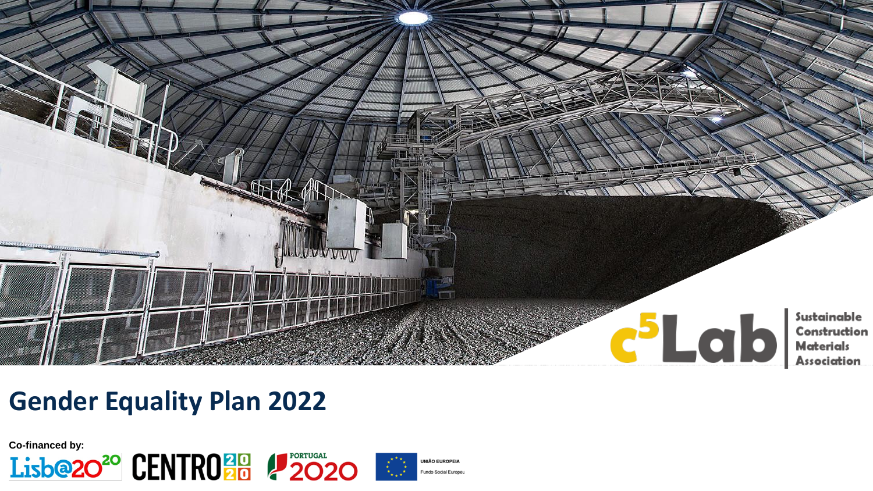

### **Gender Equality Plan 2022**





**JNIÃO EUROPEIA** Fundo Social Europeu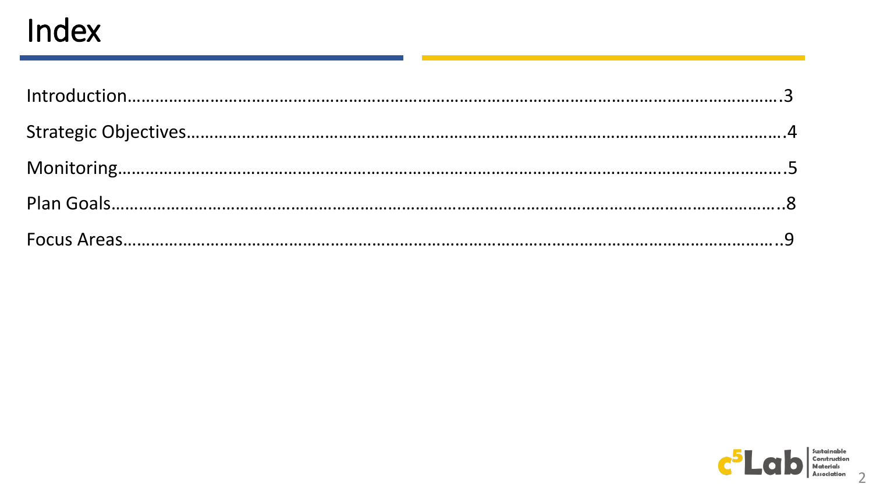## Index

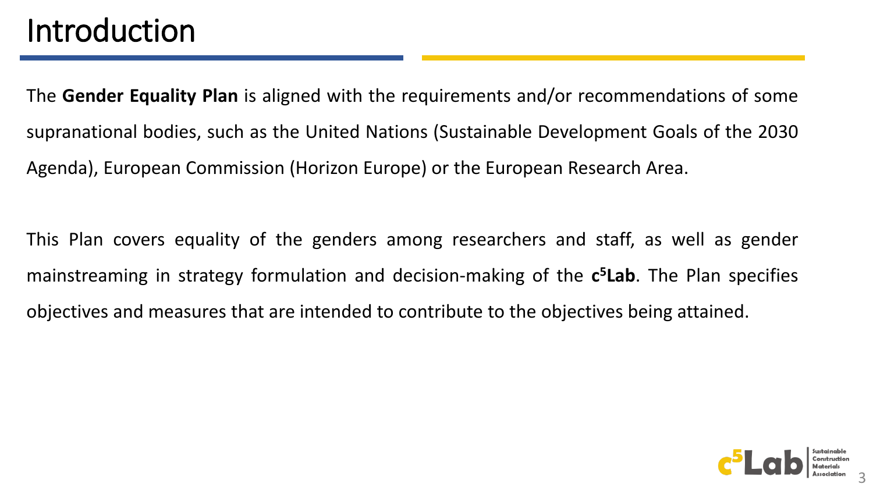The **Gender Equality Plan** is aligned with the requirements and/or recommendations of some supranational bodies, such as the United Nations (Sustainable Development Goals of the 2030 Agenda), European Commission (Horizon Europe) or the European Research Area.

This Plan covers equality of the genders among researchers and staff, as well as gender mainstreaming in strategy formulation and decision-making of the **c <sup>5</sup>Lab**. The Plan specifies objectives and measures that are intended to contribute to the objectives being attained.

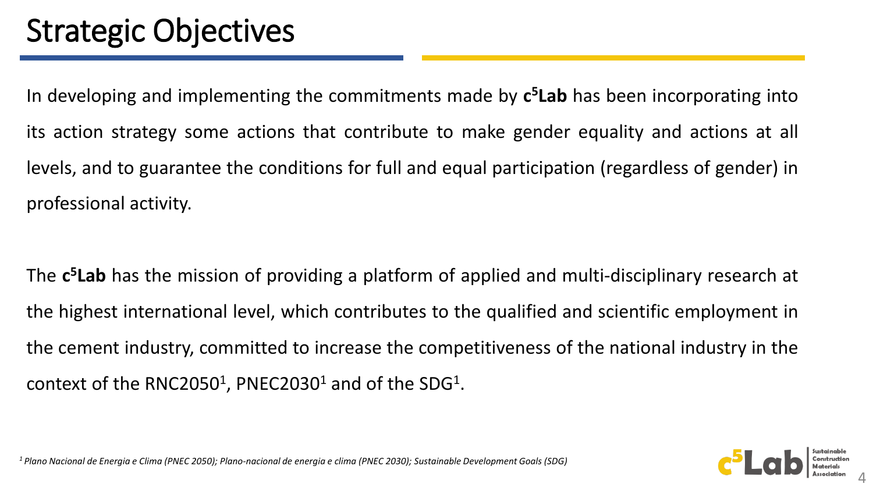In developing and implementing the commitments made by **c <sup>5</sup>Lab** has been incorporating into its action strategy some actions that contribute to make gender equality and actions at all levels, and to guarantee the conditions for full and equal participation (regardless of gender) in professional activity.

The **c <sup>5</sup>Lab** has the mission of providing a platform of applied and multi-disciplinary research at the highest international level, which contributes to the qualified and scientific employment in the cement industry, committed to increase the competitiveness of the national industry in the context of the RNC2050<sup>1</sup>, PNEC2030<sup>1</sup> and of the SDG<sup>1</sup>.

*<sup>1</sup>Plano Nacional de Energia e Clima (PNEC 2050); Plano-nacional de energia e clima (PNEC 2030); Sustainable Development Goals (SDG)*

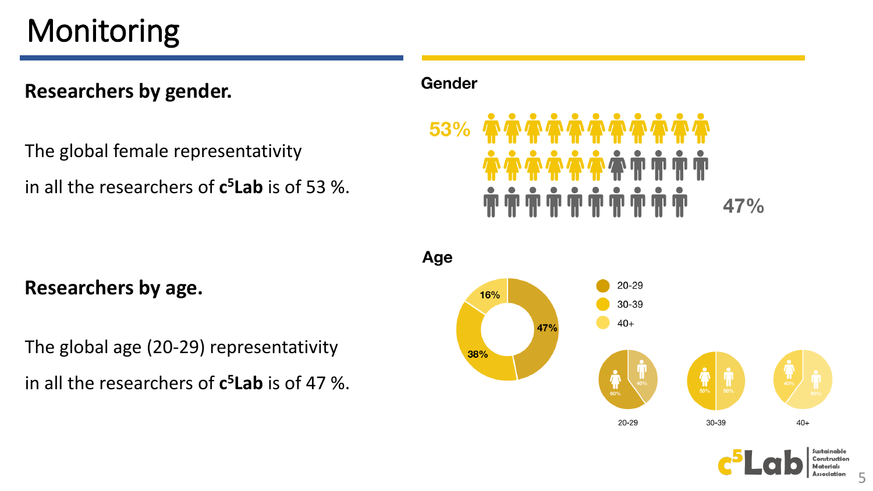# Monitoring

#### **Researchers by gender.**

The global female representativity

in all the researchers of **c <sup>5</sup>Lab** is of 53 %.

#### Gender



Age  $20 - 29$ 16% 30-39  $40+$ 47% 38%  $\sum_{50\%}$  $\prod_{50\%}$ Ť 60% 30-39  $40+$ 20-29



**Researchers by age.**

The global age (20-29) representativity in all the researchers of **c <sup>5</sup>Lab** is of 47 %.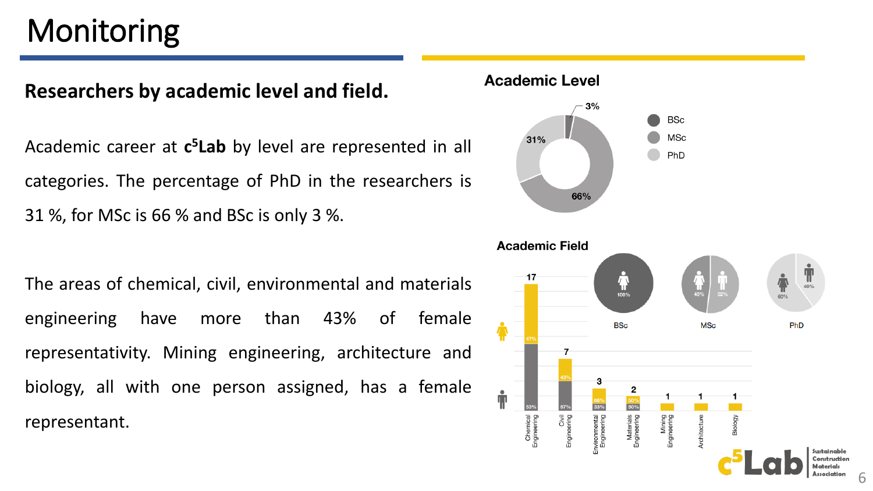## Monitoring

#### **Researchers by academic level and field.**

Academic career at **c <sup>5</sup>Lab** by level are represented in all categories. The percentage of PhD in the researchers is 31 %, for MSc is 66 % and BSc is only 3 %.

The areas of chemical, civil, environmental and materials engineering have more than 43% of female representativity. Mining engineering, architecture and biology, all with one person assigned, has a female representant.

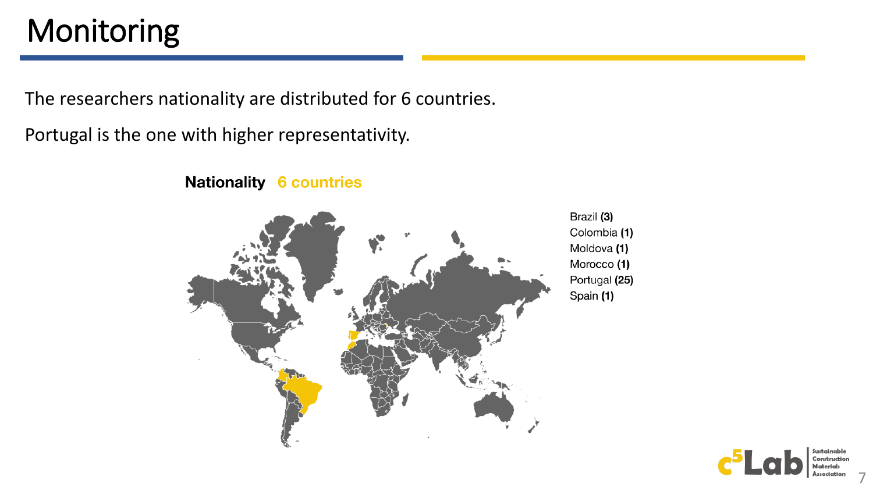## Monitoring

The researchers nationality are distributed for 6 countries.

Portugal is the one with higher representativity.

**Nationality 6 countries** 



Brazil (3) Colombia (1) Moldova (1) Morocco (1) Portugal (25) Spain (1)

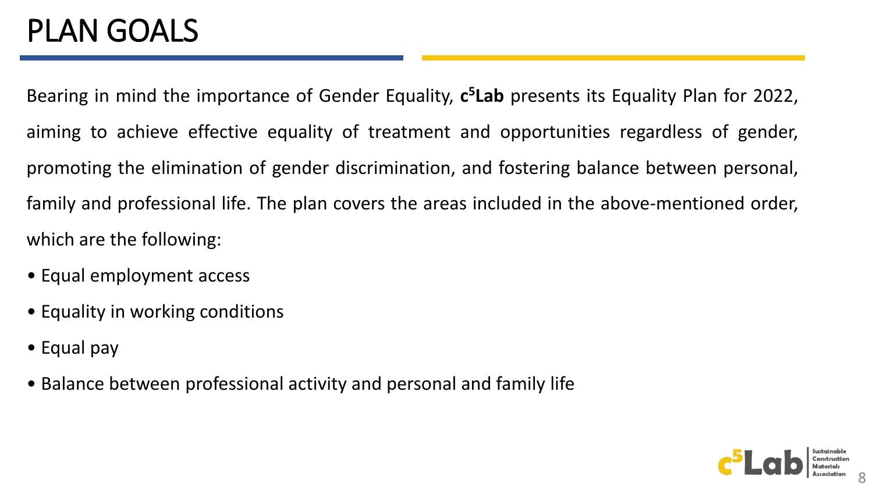## PLAN GOALS

Bearing in mind the importance of Gender Equality, **c <sup>5</sup>Lab** presents its Equality Plan for 2022, aiming to achieve effective equality of treatment and opportunities regardless of gender, promoting the elimination of gender discrimination, and fostering balance between personal, family and professional life. The plan covers the areas included in the above-mentioned order, which are the following:

- Equal employment access
- Equality in working conditions
- Equal pay
- Balance between professional activity and personal and family life

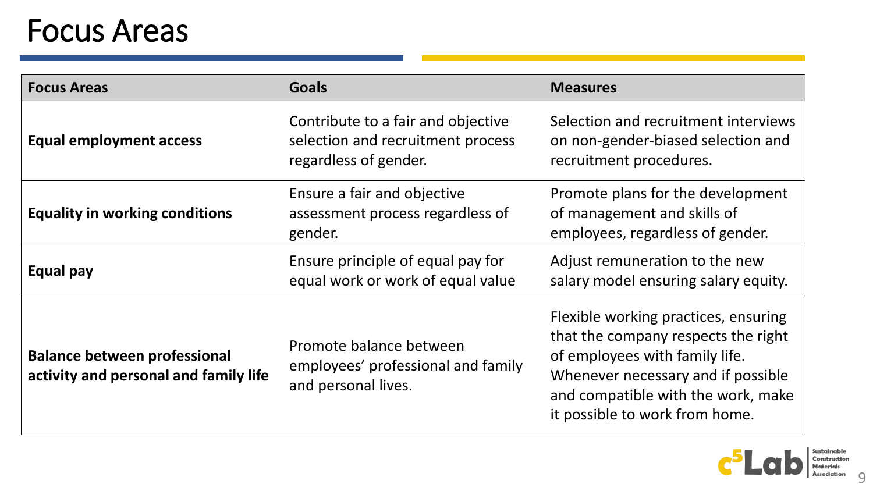## Focus Areas

| <b>Focus Areas</b>                                                           | <b>Goals</b>                                                                                     | <b>Measures</b>                                                                                                                                                                                                             |
|------------------------------------------------------------------------------|--------------------------------------------------------------------------------------------------|-----------------------------------------------------------------------------------------------------------------------------------------------------------------------------------------------------------------------------|
| <b>Equal employment access</b>                                               | Contribute to a fair and objective<br>selection and recruitment process<br>regardless of gender. | Selection and recruitment interviews<br>on non-gender-biased selection and<br>recruitment procedures.                                                                                                                       |
| <b>Equality in working conditions</b>                                        | Ensure a fair and objective<br>assessment process regardless of<br>gender.                       | Promote plans for the development<br>of management and skills of<br>employees, regardless of gender.                                                                                                                        |
| Equal pay                                                                    | Ensure principle of equal pay for<br>equal work or work of equal value                           | Adjust remuneration to the new<br>salary model ensuring salary equity.                                                                                                                                                      |
| <b>Balance between professional</b><br>activity and personal and family life | Promote balance between<br>employees' professional and family<br>and personal lives.             | Flexible working practices, ensuring<br>that the company respects the right<br>of employees with family life.<br>Whenever necessary and if possible<br>and compatible with the work, make<br>it possible to work from home. |